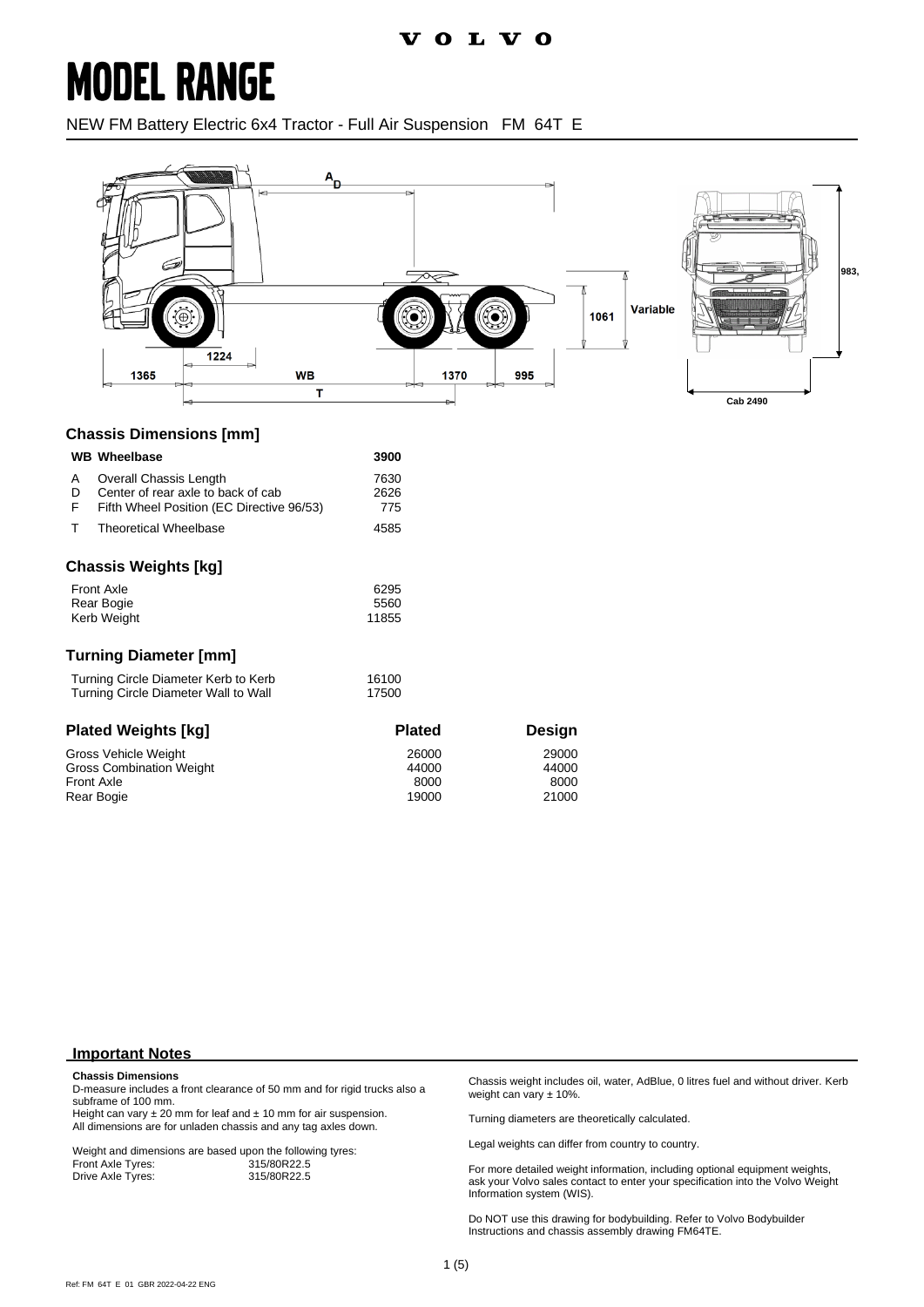### **MODEL RANGE**

NEW FM Battery Electric 6x4 Tractor - Full Air Suspension FM 64T E



#### **Chassis Dimensions [mm]**

| <b>WB</b> Wheelbase                                                                                                      | 3900                            |                                 |
|--------------------------------------------------------------------------------------------------------------------------|---------------------------------|---------------------------------|
| Overall Chassis Length<br>A<br>Center of rear axle to back of cab<br>D<br>F<br>Fifth Wheel Position (EC Directive 96/53) | 7630<br>2626<br>775             |                                 |
| т<br><b>Theoretical Wheelbase</b>                                                                                        | 4585                            |                                 |
| <b>Chassis Weights [kg]</b>                                                                                              |                                 |                                 |
| <b>Front Axle</b><br>Rear Bogie<br>Kerb Weight                                                                           | 6295<br>5560<br>11855           |                                 |
| <b>Turning Diameter [mm]</b>                                                                                             |                                 |                                 |
| Turning Circle Diameter Kerb to Kerb<br>Turning Circle Diameter Wall to Wall                                             | 16100<br>17500                  |                                 |
| <b>Plated Weights [kg]</b>                                                                                               | <b>Plated</b>                   | Design                          |
| Gross Vehicle Weight<br><b>Gross Combination Weight</b><br><b>Front Axle</b><br>Rear Bogie                               | 26000<br>44000<br>8000<br>19000 | 29000<br>44000<br>8000<br>21000 |

#### **Important Notes**

#### **Chassis Dimensions**

D-measure includes a front clearance of 50 mm and for rigid trucks also a subframe of 100 mm.

Height can vary  $\pm 20$  mm for leaf and  $\pm 10$  mm for air suspension. All dimensions are for unladen chassis and any tag axles down.

Weight and dimensions are based upon the following tyres:<br>Front Axle Tyres: 315/80R22.5 Front Axle Tyres: 315/80R22.5<br>Drive Axle Tyres: 315/80R22.5 Drive Axle Tyres:

Chassis weight includes oil, water, AdBlue, 0 litres fuel and without driver. Kerb weight can vary ± 10%.

Turning diameters are theoretically calculated.

Legal weights can differ from country to country.

For more detailed weight information, including optional equipment weights, ask your Volvo sales contact to enter your specification into the Volvo Weight Information system (WIS).

Do NOT use this drawing for bodybuilding. Refer to Volvo Bodybuilder Instructions and chassis assembly drawing FM64TE.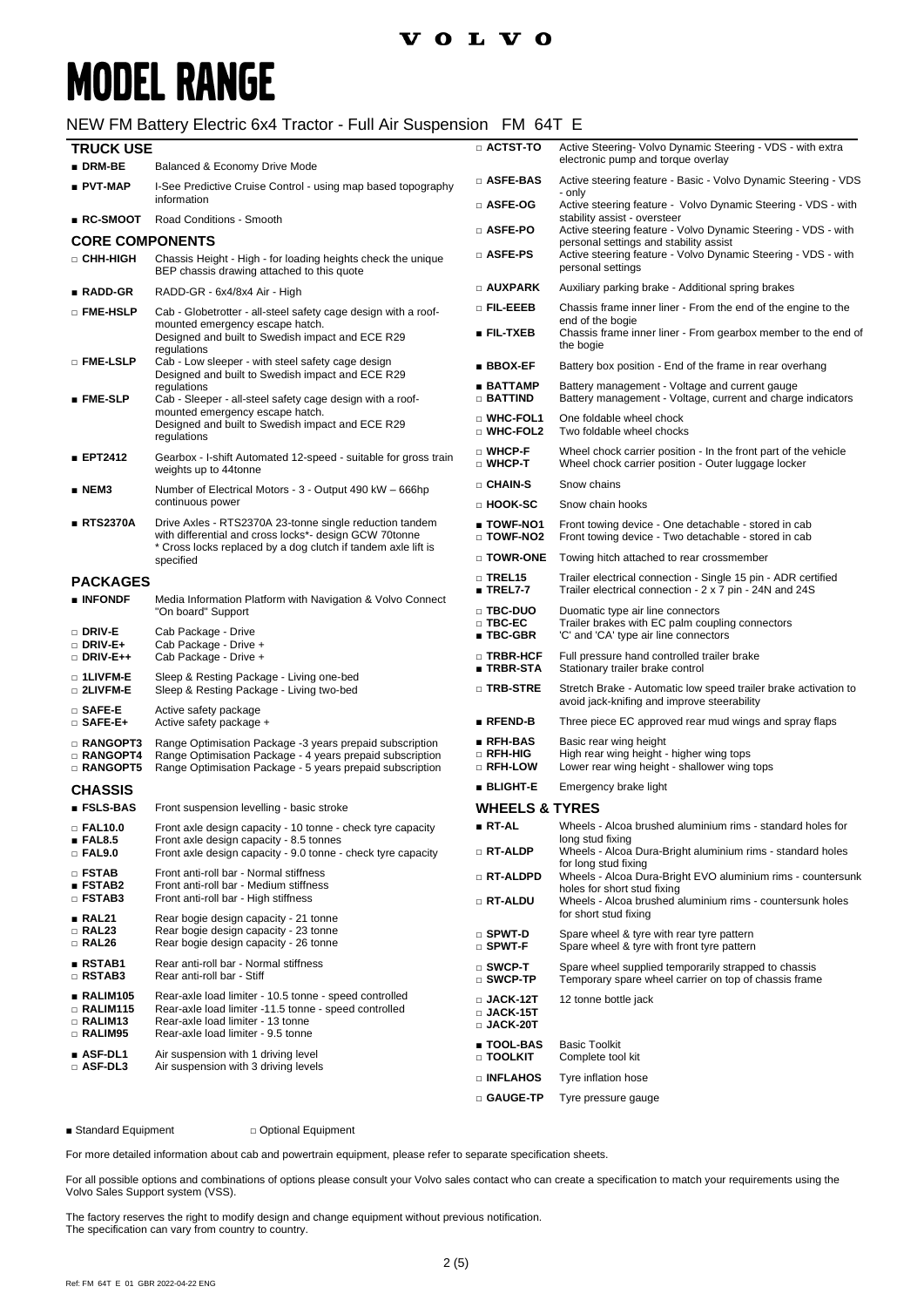### **MODEL RANGE**

#### NEW FM Battery Electric 6x4 Tractor - Full Air Suspension FM 64T E

| <b>TRUCK USE</b>                                           |                                                                                                                                                                                            | $\Box$ ACTST-TO                                                | Active Steering- Volvo Dynamic Steering - VDS - with extra                                                                                         |
|------------------------------------------------------------|--------------------------------------------------------------------------------------------------------------------------------------------------------------------------------------------|----------------------------------------------------------------|----------------------------------------------------------------------------------------------------------------------------------------------------|
| $\blacksquare$ DRM-BE                                      | Balanced & Economy Drive Mode                                                                                                                                                              |                                                                | electronic pump and torque overlay                                                                                                                 |
| ∎ PVT-MAP                                                  | I-See Predictive Cruise Control - using map based topography                                                                                                                               | □ ASFE-BAS                                                     | Active steering feature - Basic - Volvo Dynamic Steering - VDS<br>- only                                                                           |
| ∎ RC-SMOOT                                                 | information<br>Road Conditions - Smooth                                                                                                                                                    | □ ASFE-OG                                                      | Active steering feature - Volvo Dynamic Steering - VDS - with<br>stability assist - oversteer                                                      |
| <b>CORE COMPONENTS</b>                                     |                                                                                                                                                                                            | □ ASFE-PO                                                      | Active steering feature - Volvo Dynamic Steering - VDS - with<br>personal settings and stability assist                                            |
| □ CHH-HIGH                                                 | Chassis Height - High - for loading heights check the unique<br>BEP chassis drawing attached to this quote                                                                                 | □ ASFE-PS                                                      | Active steering feature - Volvo Dynamic Steering - VDS - with<br>personal settings                                                                 |
| ∎ RADD-GR                                                  | RADD-GR - 6x4/8x4 Air - High                                                                                                                                                               | $\square$ AUXPARK                                              | Auxiliary parking brake - Additional spring brakes                                                                                                 |
| □ FME-HSLP                                                 | Cab - Globetrotter - all-steel safety cage design with a roof-<br>mounted emergency escape hatch.<br>Designed and built to Swedish impact and ECE R29                                      | $\Box$ Fil-eeeb<br>$\blacksquare$ FIL-TXEB                     | Chassis frame inner liner - From the end of the engine to the<br>end of the bogie<br>Chassis frame inner liner - From gearbox member to the end of |
| □ FME-LSLP                                                 | regulations<br>Cab - Low sleeper - with steel safety cage design                                                                                                                           | $\blacksquare$ BBOX-EF                                         | the bogie<br>Battery box position - End of the frame in rear overhang                                                                              |
| $\blacksquare$ FME-SLP                                     | Designed and built to Swedish impact and ECE R29<br>regulations<br>Cab - Sleeper - all-steel safety cage design with a roof-                                                               | ∎ BATTAMP<br>$\Box$ Battind                                    | Battery management - Voltage and current gauge<br>Battery management - Voltage, current and charge indicators                                      |
|                                                            | mounted emergency escape hatch.<br>Designed and built to Swedish impact and ECE R29<br>regulations                                                                                         | □ WHC-FOL1<br>□ WHC-FOL2                                       | One foldable wheel chock<br>Two foldable wheel chocks                                                                                              |
| <b>EPT2412</b>                                             | Gearbox - I-shift Automated 12-speed - suitable for gross train<br>weights up to 44tonne                                                                                                   | □ WHCP-F<br>$\square$ WHCP-T                                   | Wheel chock carrier position - In the front part of the vehicle<br>Wheel chock carrier position - Outer luggage locker                             |
| ∎ NEM3                                                     | Number of Electrical Motors - 3 - Output 490 kW - 666hp                                                                                                                                    | $\square$ CHAIN-S                                              | Snow chains                                                                                                                                        |
|                                                            | continuous power                                                                                                                                                                           | □ HOOK-SC                                                      | Snow chain hooks                                                                                                                                   |
| <b>■ RTS2370A</b>                                          | Drive Axles - RTS2370A 23-tonne single reduction tandem<br>with differential and cross locks*- design GCW 70tonne<br>* Cross locks replaced by a dog clutch if tandem axle lift is         | ∎ TOWF-NO1<br>□ TOWF-NO2                                       | Front towing device - One detachable - stored in cab<br>Front towing device - Two detachable - stored in cab                                       |
|                                                            | specified                                                                                                                                                                                  | $\square$ TOWR-ONE                                             | Towing hitch attached to rear crossmember                                                                                                          |
| <b>PACKAGES</b><br>$\blacksquare$ INFONDF                  | Media Information Platform with Navigation & Volvo Connect                                                                                                                                 | $\Box$ TREL15<br>$\blacksquare$ TREL7-7                        | Trailer electrical connection - Single 15 pin - ADR certified<br>Trailer electrical connection - 2 x 7 pin - 24N and 24S                           |
| □ DRIV-E                                                   | "On board" Support<br>Cab Package - Drive                                                                                                                                                  | □ TBC-DUO<br>$\square$ TBC-EC.<br>$\blacksquare$ TBC-GBR       | Duomatic type air line connectors<br>Trailer brakes with EC palm coupling connectors<br>'C' and 'CA' type air line connectors                      |
| $\Box$ DRIV-E+<br>$\Box$ DRIV-E++                          | Cab Package - Drive +<br>Cab Package - Drive +                                                                                                                                             | □ TRBR-HCF<br>∎ TRBR-STA                                       | Full pressure hand controlled trailer brake<br>Stationary trailer brake control                                                                    |
| $\Box$ 1LIVFM-E<br>□ 2LIVFM-E                              | Sleep & Resting Package - Living one-bed<br>Sleep & Resting Package - Living two-bed                                                                                                       | $\square$ TRB-STRE                                             | Stretch Brake - Automatic low speed trailer brake activation to<br>avoid jack-knifing and improve steerability                                     |
| $\square$ SAFE-E<br>$\square$ SAFE-E+                      | Active safety package<br>Active safety package +                                                                                                                                           | $\blacksquare$ RFEND-B                                         | Three piece EC approved rear mud wings and spray flaps                                                                                             |
| <b>RANGOPT3</b><br>□ RANGOPT4<br>□ RANGOPT5                | Range Optimisation Package -3 years prepaid subscription<br>Range Optimisation Package - 4 years prepaid subscription<br>Range Optimisation Package - 5 years prepaid subscription         | $\blacksquare$ RFH-BAS<br>$\Box$ RFH-HIG<br>□ RFH-LOW          | Basic rear wing height<br>High rear wing height - higher wing tops<br>Lower rear wing height - shallower wing tops                                 |
| <b>CHASSIS</b>                                             |                                                                                                                                                                                            | $\blacksquare$ BLIGHT-E                                        | Emergency brake light                                                                                                                              |
| $\blacksquare$ FSLS-BAS                                    | Front suspension levelling - basic stroke                                                                                                                                                  | <b>WHEELS &amp; TYRES</b>                                      |                                                                                                                                                    |
| $\square$ FAL10.0<br>$\blacksquare$ FAL8.5                 | Front axle design capacity - 10 tonne - check tyre capacity<br>Front axle design capacity - 8.5 tonnes                                                                                     | ∎ RT-AL                                                        | Wheels - Alcoa brushed aluminium rims - standard holes for<br>long stud fixing                                                                     |
| $\Box$ FAL9.0                                              | Front axle design capacity - 9.0 tonne - check tyre capacity                                                                                                                               | $\Box$ RT-ALDP                                                 | Wheels - Alcoa Dura-Bright aluminium rims - standard holes<br>for long stud fixing                                                                 |
| $\Box$ FSTAB<br>$\blacksquare$ FSTAB2                      | Front anti-roll bar - Normal stiffness<br>Front anti-roll bar - Medium stiffness                                                                                                           | □ RT-ALDPD                                                     | Wheels - Alcoa Dura-Bright EVO aluminium rims - countersunk<br>holes for short stud fixing                                                         |
| □ FSTAB3                                                   | Front anti-roll bar - High stiffness                                                                                                                                                       | □ RT-ALDU                                                      | Wheels - Alcoa brushed aluminium rims - countersunk holes<br>for short stud fixing                                                                 |
| RAL21<br><b>RAL23</b><br>$\Box$ RAL26                      | Rear bogie design capacity - 21 tonne<br>Rear bogie design capacity - 23 tonne<br>Rear bogie design capacity - 26 tonne                                                                    | $\square$ SPWT-D<br>$\square$ SPWT-F                           | Spare wheel & tyre with rear tyre pattern<br>Spare wheel & tyre with front tyre pattern                                                            |
| $\blacksquare$ RSTAB1<br>□ RSTAB3                          | Rear anti-roll bar - Normal stiffness<br>Rear anti-roll bar - Stiff                                                                                                                        | $\square$ SWCP-T<br>$\square$ SWCP-TP                          | Spare wheel supplied temporarily strapped to chassis<br>Temporary spare wheel carrier on top of chassis frame                                      |
| RALIM105<br><b>RALIM115</b><br>□ RALIM13<br><b>RALIM95</b> | Rear-axle load limiter - 10.5 tonne - speed controlled<br>Rear-axle load limiter -11.5 tonne - speed controlled<br>Rear-axle load limiter - 13 tonne<br>Rear-axle load limiter - 9.5 tonne | $\square$ JACK-12T<br>$\square$ JACK-15T<br>$\square$ JACK-20T | 12 tonne bottle jack                                                                                                                               |
| $\blacksquare$ ASF-DL1<br>□ ASF-DL3                        | Air suspension with 1 driving level<br>Air suspension with 3 driving levels                                                                                                                | ■ TOOL-BAS<br>□ TOOLKIT                                        | <b>Basic Toolkit</b><br>Complete tool kit                                                                                                          |
|                                                            |                                                                                                                                                                                            | □ INFLAHOS                                                     | Tyre inflation hose                                                                                                                                |
|                                                            |                                                                                                                                                                                            | □ GAUGE-TP                                                     | Tyre pressure gauge                                                                                                                                |

■ Standard Equipment □ Optional Equipment

For more detailed information about cab and powertrain equipment, please refer to separate specification sheets.

For all possible options and combinations of options please consult your Volvo sales contact who can create a specification to match your requirements using the Volvo Sales Support system (VSS).

The factory reserves the right to modify design and change equipment without previous notification. The specification can vary from country to country.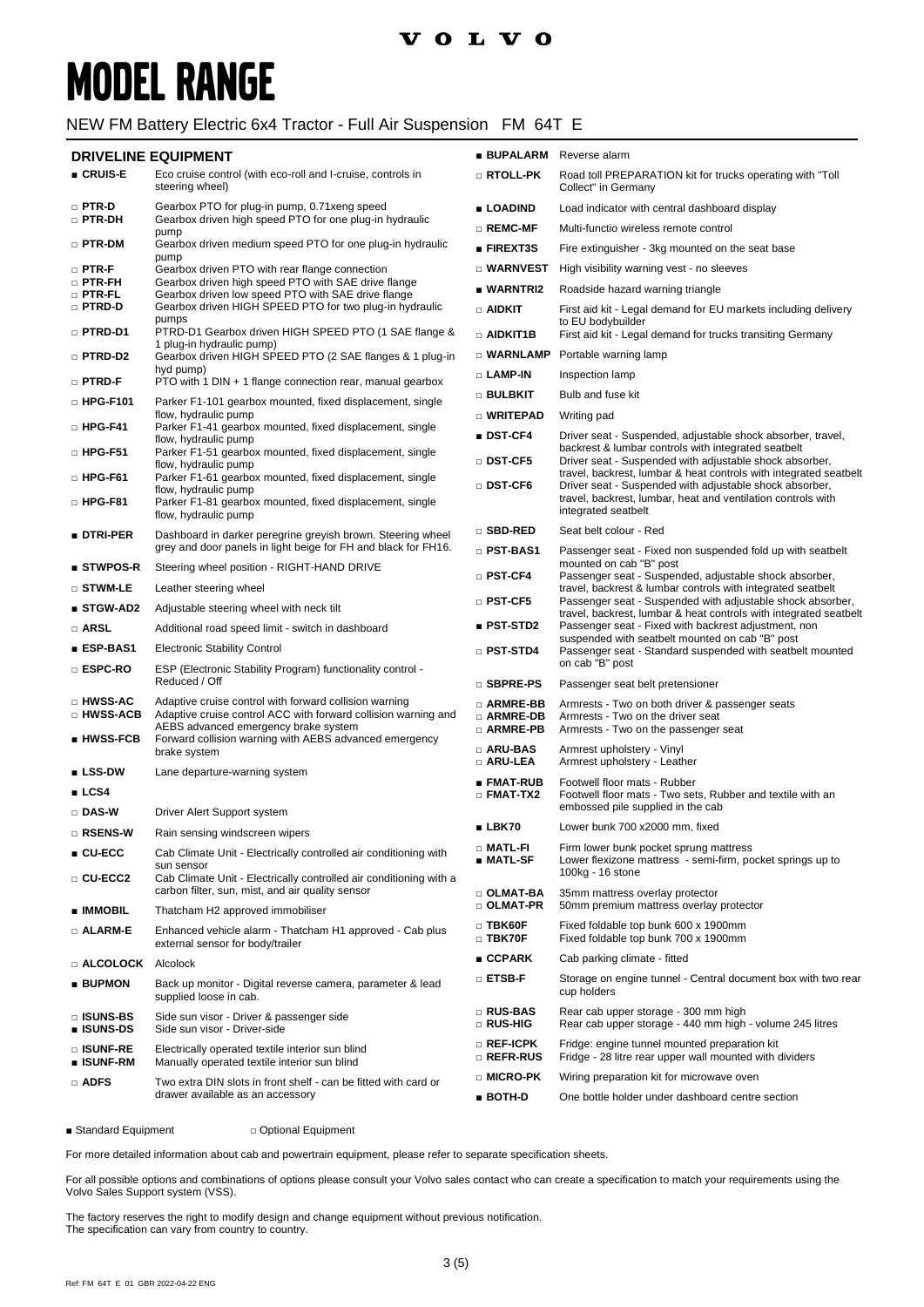#### **VOLVO**

# **MODEL RANGE**

#### NEW FM Battery Electric 6x4 Tractor - Full Air Suspension FM 64T E

#### **DRIVELINE EQUIPMENT**

| <b>DRIVELINE EQUIPMENT</b>                         |                                                                                                                                                                                                                            | <b>BUPALARM</b> Reverse alarm          |                                                                                                                                                |
|----------------------------------------------------|----------------------------------------------------------------------------------------------------------------------------------------------------------------------------------------------------------------------------|----------------------------------------|------------------------------------------------------------------------------------------------------------------------------------------------|
| ■ CRUIS-E                                          | Eco cruise control (with eco-roll and I-cruise, controls in<br>steering wheel)                                                                                                                                             | □ RTOLL-PK                             | Road toll PREPARATION kit for trucks operating with "Toll<br>Collect" in Germany                                                               |
| $\square$ PTR-D<br>□ PTR-DH                        | Gearbox PTO for plug-in pump, 0.71 xeng speed<br>Gearbox driven high speed PTO for one plug-in hydraulic                                                                                                                   | ■ LOADIND                              | Load indicator with central dashboard display                                                                                                  |
|                                                    | pump                                                                                                                                                                                                                       | $\square$ REMC-MF                      | Multi-functio wireless remote control                                                                                                          |
| $\square$ PTR-DM                                   | Gearbox driven medium speed PTO for one plug-in hydraulic<br>pump                                                                                                                                                          | <b>FIREXT3S</b>                        | Fire extinguisher - 3kg mounted on the seat base                                                                                               |
| $\square$ PTR-F                                    | Gearbox driven PTO with rear flange connection                                                                                                                                                                             | □ WARNVEST                             | High visibility warning vest - no sleeves                                                                                                      |
| $\Box$ PTR-FH<br>□ PTR-FL                          | Gearbox driven high speed PTO with SAE drive flange<br>Gearbox driven low speed PTO with SAE drive flange                                                                                                                  | ■ WARNTRI2                             | Roadside hazard warning triangle                                                                                                               |
| □ PTRD-D                                           | Gearbox driven HIGH SPEED PTO for two plug-in hydraulic<br>pumps                                                                                                                                                           | $\Box$ aidkit                          | First aid kit - Legal demand for EU markets including delivery<br>to EU bodybuilder                                                            |
| □ PTRD-D1                                          | PTRD-D1 Gearbox driven HIGH SPEED PTO (1 SAE flange &<br>1 plug-in hydraulic pump)                                                                                                                                         | $\Box$ aidkit1b                        | First aid kit - Legal demand for trucks transiting Germany                                                                                     |
| □ PTRD-D2                                          | Gearbox driven HIGH SPEED PTO (2 SAE flanges & 1 plug-in<br>hyd pump)                                                                                                                                                      |                                        | $\Box$ WARNLAMP Portable warning lamp                                                                                                          |
| □ PTRD-F                                           | PTO with 1 DIN + 1 flange connection rear, manual gearbox                                                                                                                                                                  | □ LAMP-IN                              | Inspection lamp                                                                                                                                |
| □ HPG-F101                                         | Parker F1-101 gearbox mounted, fixed displacement, single                                                                                                                                                                  | □ BULBKIT                              | Bulb and fuse kit                                                                                                                              |
| □ HPG-F41                                          | flow, hydraulic pump<br>Parker F1-41 gearbox mounted, fixed displacement, single                                                                                                                                           | □ WRITEPAD                             | Writing pad                                                                                                                                    |
| □ HPG-F51                                          | flow, hydraulic pump<br>Parker F1-51 gearbox mounted, fixed displacement, single                                                                                                                                           | $\blacksquare$ DST-CF4                 | Driver seat - Suspended, adjustable shock absorber, travel,<br>backrest & lumbar controls with integrated seatbelt                             |
|                                                    | flow, hydraulic pump                                                                                                                                                                                                       | $\Box$ DST-CF5                         | Driver seat - Suspended with adjustable shock absorber,<br>travel, backrest, lumbar & heat controls with integrated seatbelt                   |
| $\square$ HPG-F61<br>□ HPG-F81                     | Parker F1-61 gearbox mounted, fixed displacement, single<br>flow, hydraulic pump<br>Parker F1-81 gearbox mounted, fixed displacement, single<br>flow, hydraulic pump                                                       | $\square$ DST-CF6                      | Driver seat - Suspended with adjustable shock absorber,<br>travel, backrest, lumbar, heat and ventilation controls with<br>integrated seatbelt |
| ■ DTRI-PER                                         | Dashboard in darker peregrine greyish brown. Steering wheel                                                                                                                                                                | □ SBD-RED                              | Seat belt colour - Red                                                                                                                         |
|                                                    | grey and door panels in light beige for FH and black for FH16.                                                                                                                                                             | D PST-BAS1                             | Passenger seat - Fixed non suspended fold up with seatbelt                                                                                     |
| $\blacksquare$ STWPOS-R                            | Steering wheel position - RIGHT-HAND DRIVE                                                                                                                                                                                 | $\square$ PST-CF4                      | mounted on cab "B" post<br>Passenger seat - Suspended, adjustable shock absorber,                                                              |
| $\square$ stwm-le                                  | Leather steering wheel                                                                                                                                                                                                     | $\square$ PST-CF5                      | travel, backrest & lumbar controls with integrated seatbelt<br>Passenger seat - Suspended with adjustable shock absorber,                      |
| ■ STGW-AD2                                         | Adjustable steering wheel with neck tilt                                                                                                                                                                                   |                                        | travel, backrest, lumbar & heat controls with integrated seatbelt                                                                              |
| □ ARSL                                             | Additional road speed limit - switch in dashboard                                                                                                                                                                          | $\blacksquare$ PST-STD2                | Passenger seat - Fixed with backrest adjustment, non<br>suspended with seatbelt mounted on cab "B" post                                        |
| ∎ ESP-BAS1                                         | <b>Electronic Stability Control</b>                                                                                                                                                                                        | $\Box$ PST-STD4                        | Passenger seat - Standard suspended with seatbelt mounted                                                                                      |
| □ ESPC-RO                                          | ESP (Electronic Stability Program) functionality control -<br>Reduced / Off                                                                                                                                                | □ SBPRE-PS                             | on cab "B" post<br>Passenger seat belt pretensioner                                                                                            |
| □ HWSS-AC<br>□ HWSS-ACB<br>$\blacksquare$ HWSS-FCB | Adaptive cruise control with forward collision warning<br>Adaptive cruise control ACC with forward collision warning and<br>AEBS advanced emergency brake system<br>Forward collision warning with AEBS advanced emergency | □ ARMRE-BB<br>□ ARMRE-DB<br>□ ARMRE-PB | Armrests - Two on both driver & passenger seats<br>Armrests - Two on the driver seat<br>Armrests - Two on the passenger seat                   |
|                                                    | brake system                                                                                                                                                                                                               | $\Box$ ARU-BAS<br>$\Box$ ARU-LEA       | Armrest upholstery - Vinyl<br>Armrest upholstery - Leather                                                                                     |
| $\blacksquare$ LSS-DW<br>LCS4                      | Lane departure-warning system                                                                                                                                                                                              | ■ FMAT-RUB<br>$\Box$ FMAT-TX2          | Footwell floor mats - Rubber<br>Footwell floor mats - Two sets, Rubber and textile with an                                                     |
| □ DAS-W                                            | Driver Alert Support system                                                                                                                                                                                                |                                        | embossed pile supplied in the cab                                                                                                              |
| □ RSENS-W                                          | Rain sensing windscreen wipers                                                                                                                                                                                             | $\blacksquare$ LBK70                   | Lower bunk 700 x2000 mm, fixed                                                                                                                 |
| $\blacksquare$ CU-ECC                              | Cab Climate Unit - Electrically controlled air conditioning with<br>sun sensor                                                                                                                                             | $\Box$ Matl-Fi<br>∎ MATL-SF            | Firm lower bunk pocket sprung mattress<br>Lower flexizone mattress - semi-firm, pocket springs up to                                           |
| □ CU-ECC2                                          | Cab Climate Unit - Electrically controlled air conditioning with a<br>carbon filter, sun, mist, and air quality sensor                                                                                                     | □ OLMAT-BA                             | 100kg - 16 stone<br>35mm mattress overlay protector                                                                                            |
| ∎ IMMOBIL                                          | Thatcham H2 approved immobiliser                                                                                                                                                                                           | □ OLMAT-PR                             | 50mm premium mattress overlay protector                                                                                                        |
| □ ALARM-E                                          | Enhanced vehicle alarm - Thatcham H1 approved - Cab plus<br>external sensor for body/trailer                                                                                                                               | $\square$ TBK60F<br>$\Box$ TBK70F      | Fixed foldable top bunk 600 x 1900mm<br>Fixed foldable top bunk 700 x 1900mm                                                                   |
| □ ALCOLOCK                                         | Alcolock                                                                                                                                                                                                                   | $\blacksquare$ CCPARK                  | Cab parking climate - fitted                                                                                                                   |
| <b>BUPMON</b>                                      | Back up monitor - Digital reverse camera, parameter & lead<br>supplied loose in cab.                                                                                                                                       | □ ETSB-F                               | Storage on engine tunnel - Central document box with two rear<br>cup holders                                                                   |
| <b>DISUNS-BS</b><br><b>u</b> ISUNS-DS              | Side sun visor - Driver & passenger side<br>Side sun visor - Driver-side                                                                                                                                                   | □ RUS-BAS<br>□ RUS-HIG                 | Rear cab upper storage - 300 mm high<br>Rear cab upper storage - 440 mm high - volume 245 litres                                               |
| □ ISUNF-RE<br>■ ISUNF-RM                           | Electrically operated textile interior sun blind<br>Manually operated textile interior sun blind                                                                                                                           | $\square$ Ref-ICPK<br>□ REFR-RUS       | Fridge: engine tunnel mounted preparation kit<br>Fridge - 28 litre rear upper wall mounted with dividers                                       |
| <b>D</b> ADFS                                      | Two extra DIN slots in front shelf - can be fitted with card or<br>drawer available as an accessory                                                                                                                        | □ MICRO-PK                             | Wiring preparation kit for microwave oven                                                                                                      |
|                                                    |                                                                                                                                                                                                                            | $BOTH-D$                               | One bottle holder under dashboard centre section                                                                                               |

■ Standard Equipment □ Optional Equipment

For more detailed information about cab and powertrain equipment, please refer to separate specification sheets.

For all possible options and combinations of options please consult your Volvo sales contact who can create a specification to match your requirements using the Volvo Sales Support system (VSS).

The factory reserves the right to modify design and change equipment without previous notification. The specification can vary from country to country.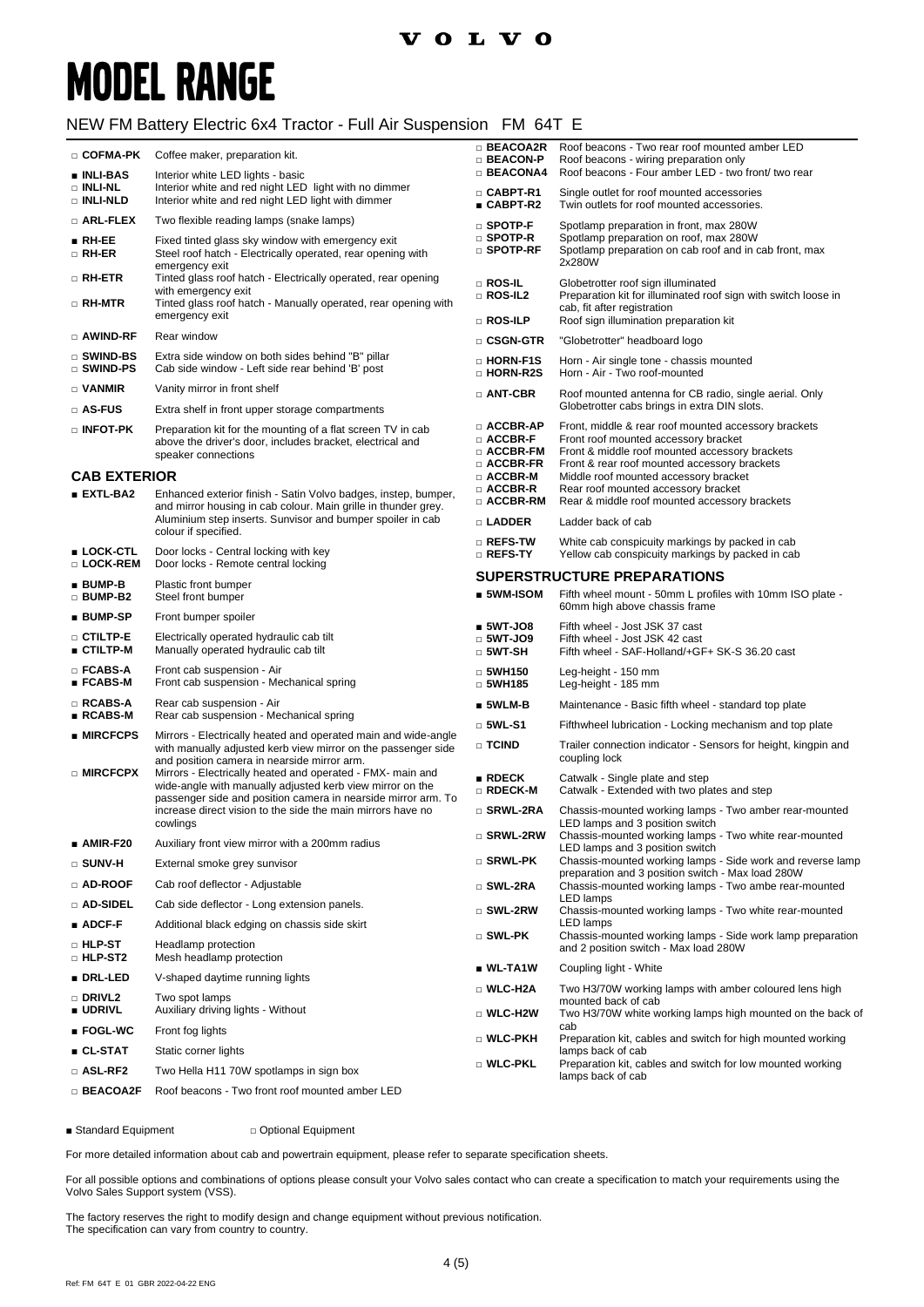### **volvo**

# **MODEL RANGE**

### NEW FM Battery Electric 6x4 Tractor - Full Air Suspension FM 64T E

| □ COFMA-PK<br>■ INLI-BAS                    | Coffee maker, preparation kit.                                                                                                                                                                                                                                                                                                                                                      | $\Box$ BEACOA2R<br>$\Box$ BEACON-P<br><b>BEACONA4</b>                    | Roof beacons - Two rear roof mounted amber LED<br>Roof beacons - wiring preparation only<br>Roof beacons - Four amber LED - two front/ two rear                                                |
|---------------------------------------------|-------------------------------------------------------------------------------------------------------------------------------------------------------------------------------------------------------------------------------------------------------------------------------------------------------------------------------------------------------------------------------------|--------------------------------------------------------------------------|------------------------------------------------------------------------------------------------------------------------------------------------------------------------------------------------|
| □ INLI-NL<br><b>DINLI-NLD</b>               | Interior white LED lights - basic<br>Interior white and red night LED light with no dimmer<br>Interior white and red night LED light with dimmer                                                                                                                                                                                                                                    | □ CABPT-R1<br>■ CABPT-R2                                                 | Single outlet for roof mounted accessories<br>Twin outlets for roof mounted accessories.                                                                                                       |
| □ ARL-FLEX                                  | Two flexible reading lamps (snake lamps)                                                                                                                                                                                                                                                                                                                                            | $n$ SPOTP-F                                                              | Spotlamp preparation in front, max 280W                                                                                                                                                        |
| $\blacksquare$ RH-EE<br>$\Box$ RH-ER        | Fixed tinted glass sky window with emergency exit<br>Steel roof hatch - Electrically operated, rear opening with<br>emergency exit                                                                                                                                                                                                                                                  | $\square$ Spotp-R<br>$\square$ Spotp-RF                                  | Spotlamp preparation on roof, max 280W<br>Spotlamp preparation on cab roof and in cab front, max<br>2x280W                                                                                     |
| $\square$ RH-ETR                            | Tinted glass roof hatch - Electrically operated, rear opening                                                                                                                                                                                                                                                                                                                       | $\square$ Ros-Il                                                         | Globetrotter roof sign illuminated                                                                                                                                                             |
| □ RH-MTR                                    | with emergency exit<br>Tinted glass roof hatch - Manually operated, rear opening with<br>emergency exit                                                                                                                                                                                                                                                                             | $\Box$ ROS-IL2<br>$\Box$ Ros-Ilp                                         | Preparation kit for illuminated roof sign with switch loose in<br>cab, fit after registration<br>Roof sign illumination preparation kit                                                        |
| □ AWIND-RF                                  | Rear window                                                                                                                                                                                                                                                                                                                                                                         | $\square$ CSGN-GTR                                                       | "Globetrotter" headboard logo                                                                                                                                                                  |
| □ SWIND-BS<br>□ SWIND-PS                    | Extra side window on both sides behind "B" pillar<br>Cab side window - Left side rear behind 'B' post                                                                                                                                                                                                                                                                               | <b>D</b> HORN-F1S<br>□ HORN-R2S                                          | Horn - Air single tone - chassis mounted<br>Horn - Air - Two roof-mounted                                                                                                                      |
| $\Box$ VANMIR                               | Vanity mirror in front shelf                                                                                                                                                                                                                                                                                                                                                        | $\Box$ ANT-CBR                                                           | Roof mounted antenna for CB radio, single aerial. Only                                                                                                                                         |
| □ AS-FUS                                    | Extra shelf in front upper storage compartments                                                                                                                                                                                                                                                                                                                                     |                                                                          | Globetrotter cabs brings in extra DIN slots.                                                                                                                                                   |
| $\square$ INFOT-PK                          | Preparation kit for the mounting of a flat screen TV in cab<br>above the driver's door, includes bracket, electrical and<br>speaker connections                                                                                                                                                                                                                                     | $\square$ ACCBR-AP<br>$\square$ ACCBR-F<br>□ ACCBR-FM<br>$\Box$ ACCBR-FR | Front, middle & rear roof mounted accessory brackets<br>Front roof mounted accessory bracket<br>Front & middle roof mounted accessory brackets<br>Front & rear roof mounted accessory brackets |
| <b>CAB EXTERIOR</b>                         |                                                                                                                                                                                                                                                                                                                                                                                     | $\square$ ACCBR-M<br>□ ACCBR-R                                           | Middle roof mounted accessory bracket<br>Rear roof mounted accessory bracket                                                                                                                   |
| $EXTL-BA2$                                  | Enhanced exterior finish - Satin Volvo badges, instep, bumper,<br>and mirror housing in cab colour. Main grille in thunder grey.                                                                                                                                                                                                                                                    | $\square$ ACCBR-RM                                                       | Rear & middle roof mounted accessory brackets                                                                                                                                                  |
|                                             | Aluminium step inserts. Sunvisor and bumper spoiler in cab<br>colour if specified.                                                                                                                                                                                                                                                                                                  | □ LADDER                                                                 | Ladder back of cab                                                                                                                                                                             |
| ■ LOCK-CTL<br>□ LOCK-REM                    | Door locks - Central locking with key<br>Door locks - Remote central locking                                                                                                                                                                                                                                                                                                        | $\square$ Refs-tw<br>□ REFS-TY                                           | White cab conspicuity markings by packed in cab<br>Yellow cab conspicuity markings by packed in cab                                                                                            |
| $BUMP-B$                                    | Plastic front bumper                                                                                                                                                                                                                                                                                                                                                                | <b>SUPERSTRUCTURE PREPARATIONS</b>                                       |                                                                                                                                                                                                |
| $\Box$ BUMP-B2                              | Steel front bumper                                                                                                                                                                                                                                                                                                                                                                  | ■ 5WM-ISOM                                                               | Fifth wheel mount - 50mm L profiles with 10mm ISO plate -<br>60mm high above chassis frame                                                                                                     |
| ■ BUMP-SP                                   | Front bumper spoiler                                                                                                                                                                                                                                                                                                                                                                | $5WT-JO8$                                                                | Fifth wheel - Jost JSK 37 cast                                                                                                                                                                 |
| □ CTILTP-E<br>■ CTILTP-M                    | Electrically operated hydraulic cab tilt<br>Manually operated hydraulic cab tilt                                                                                                                                                                                                                                                                                                    | $\Box$ 5WT-JO9<br>$\Box$ 5WT-SH                                          | Fifth wheel - Jost JSK 42 cast<br>Fifth wheel - SAF-Holland/+GF+ SK-S 36.20 cast                                                                                                               |
| $\square$ FCABS-A<br>$\blacksquare$ FCABS-M | Front cab suspension - Air<br>Front cab suspension - Mechanical spring                                                                                                                                                                                                                                                                                                              | $\Box$ 5WH150<br>$\Box$ 5WH185                                           | Leg-height - 150 mm<br>Leg-height - 185 mm                                                                                                                                                     |
| $\square$ RCABS-A<br>$\blacksquare$ RCABS-M | Rear cab suspension - Air<br>Rear cab suspension - Mechanical spring                                                                                                                                                                                                                                                                                                                | $\blacksquare$ 5WLM-B                                                    | Maintenance - Basic fifth wheel - standard top plate                                                                                                                                           |
| ■ MIRCFCPS                                  | Mirrors - Electrically heated and operated main and wide-angle                                                                                                                                                                                                                                                                                                                      | $\square$ 5WL-S1                                                         | Fifthwheel lubrication - Locking mechanism and top plate                                                                                                                                       |
| □ MIRCFCPX                                  | with manually adjusted kerb view mirror on the passenger side<br>and position camera in nearside mirror arm.<br>Mirrors - Electrically heated and operated - FMX- main and<br>wide-angle with manually adjusted kerb view mirror on the<br>passenger side and position camera in nearside mirror arm. To<br>increase direct vision to the side the main mirrors have no<br>cowlings | □ TCIND                                                                  | Trailer connection indicator - Sensors for height, kingpin and<br>coupling lock                                                                                                                |
|                                             |                                                                                                                                                                                                                                                                                                                                                                                     | RDECK<br>□ RDECK-M                                                       | Catwalk - Single plate and step<br>Catwalk - Extended with two plates and step                                                                                                                 |
|                                             |                                                                                                                                                                                                                                                                                                                                                                                     | □ SRWL-2RA                                                               | Chassis-mounted working lamps - Two amber rear-mounted<br>LED lamps and 3 position switch                                                                                                      |
| $MIR-F20$                                   | Auxiliary front view mirror with a 200mm radius                                                                                                                                                                                                                                                                                                                                     | □ SRWL-2RW                                                               | Chassis-mounted working lamps - Two white rear-mounted<br>LED lamps and 3 position switch                                                                                                      |
| $\square$ SUNV-H                            | External smoke grey sunvisor                                                                                                                                                                                                                                                                                                                                                        | $\square$ SRWL-PK                                                        | Chassis-mounted working lamps - Side work and reverse lamp<br>preparation and 3 position switch - Max load 280W                                                                                |
| □ AD-ROOF                                   | Cab roof deflector - Adjustable                                                                                                                                                                                                                                                                                                                                                     | $\square$ SWL-2RA                                                        | Chassis-mounted working lamps - Two ambe rear-mounted                                                                                                                                          |
| □ AD-SIDEL                                  | Cab side deflector - Long extension panels.                                                                                                                                                                                                                                                                                                                                         | □ SWL-2RW                                                                | LED lamps<br>Chassis-mounted working lamps - Two white rear-mounted                                                                                                                            |
| $\blacksquare$ ADCF-F                       | Additional black edging on chassis side skirt                                                                                                                                                                                                                                                                                                                                       | □ SWL-PK                                                                 | LED lamps<br>Chassis-mounted working lamps - Side work lamp preparation                                                                                                                        |
| $\square$ hlp st<br><b>D</b> HLP-ST2        | Headlamp protection<br>Mesh headlamp protection                                                                                                                                                                                                                                                                                                                                     |                                                                          | and 2 position switch - Max load 280W                                                                                                                                                          |
| ■ DRL-LED                                   | V-shaped daytime running lights                                                                                                                                                                                                                                                                                                                                                     | $\blacksquare$ WL-TA1W<br>□ WLC-H2A                                      | Coupling light - White                                                                                                                                                                         |
| □ DRIVL2<br>■ UDRIVL                        | Two spot lamps<br>Auxiliary driving lights - Without                                                                                                                                                                                                                                                                                                                                | □ WLC-H2W                                                                | Two H3/70W working lamps with amber coloured lens high<br>mounted back of cab<br>Two H3/70W white working lamps high mounted on the back of                                                    |
| $\blacksquare$ FOGL-WC                      | Front fog lights                                                                                                                                                                                                                                                                                                                                                                    | □ WLC-PKH                                                                | cab                                                                                                                                                                                            |
| ∎ CL-STAT                                   | Static corner lights                                                                                                                                                                                                                                                                                                                                                                |                                                                          | Preparation kit, cables and switch for high mounted working<br>lamps back of cab                                                                                                               |
| □ ASL-RF2                                   | Two Hella H11 70W spotlamps in sign box                                                                                                                                                                                                                                                                                                                                             | □ WLC-PKL                                                                | Preparation kit, cables and switch for low mounted working<br>lamps back of cab                                                                                                                |
| □ BEACOA2F                                  | Roof beacons - Two front roof mounted amber LED                                                                                                                                                                                                                                                                                                                                     |                                                                          |                                                                                                                                                                                                |

■ Standard Equipment □ Optional Equipment

For more detailed information about cab and powertrain equipment, please refer to separate specification sheets.

For all possible options and combinations of options please consult your Volvo sales contact who can create a specification to match your requirements using the Volvo Sales Support system (VSS).

The factory reserves the right to modify design and change equipment without previous notification. The specification can vary from country to country.